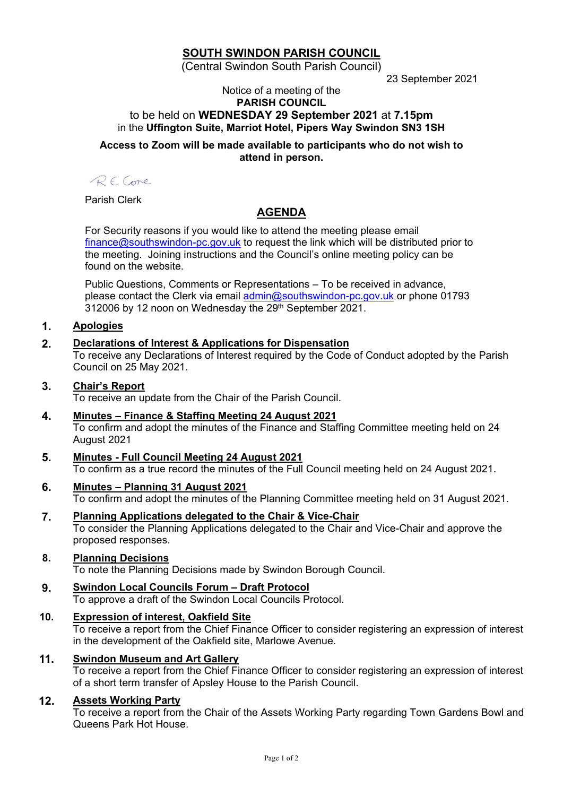# **SOUTH SWINDON PARISH COUNCIL**

(Central Swindon South Parish Council)

23 September 2021

#### Notice of a meeting of the **PARISH COUNCIL** to be held on **WEDNESDAY 29 September 2021** at **7.15pm** in the **Uffington Suite, Marriot Hotel, Pipers Way Swindon SN3 1SH**

**Access to Zoom will be made available to participants who do not wish to attend in person.**

RECore

Parish Clerk

# **AGENDA**

For Security reasons if you would like to attend the meeting please email [finance@southswindon-pc.gov.uk](mailto:finance@southswindon-pc.gov.uk) to request the link which will be distributed prior to the meeting. Joining instructions and the Council's online meeting policy can be found on the website.

Public Questions, Comments or Representations – To be received in advance, please contact the Clerk via email [admin@southswindon-pc.gov.uk](mailto:admin@southswindon-pc.gov.uk) or phone 01793 312006 by 12 noon on Wednesday the 29<sup>th</sup> September 2021.

## **1. Apologies**

## **2. Declarations of Interest & Applications for Dispensation**

To receive any Declarations of Interest required by the Code of Conduct adopted by the Parish Council on 25 May 2021.

## **3. Chair's Report**

To receive an update from the Chair of the Parish Council.

- **4. Minutes – Finance & Staffing Meeting 24 August 2021** To confirm and adopt the minutes of the Finance and Staffing Committee meeting held on 24 August 2021
- **5. Minutes - Full Council Meeting 24 August 2021** To confirm as a true record the minutes of the Full Council meeting held on 24 August 2021.
- **6. Minutes – Planning 31 August 2021** To confirm and adopt the minutes of the Planning Committee meeting held on 31 August 2021.
- **7. Planning Applications delegated to the Chair & Vice-Chair** To consider the Planning Applications delegated to the Chair and Vice-Chair and approve the proposed responses.
- **8. Planning Decisions**

To note the Planning Decisions made by Swindon Borough Council.

**9. Swindon Local Councils Forum – Draft Protocol** To approve a draft of the Swindon Local Councils Protocol.

## **10. Expression of interest, Oakfield Site**

To receive a report from the Chief Finance Officer to consider registering an expression of interest in the development of the Oakfield site, Marlowe Avenue.

#### **11. Swindon Museum and Art Gallery**

To receive a report from the Chief Finance Officer to consider registering an expression of interest of a short term transfer of Apsley House to the Parish Council.

#### **12. Assets Working Party**

To receive a report from the Chair of the Assets Working Party regarding Town Gardens Bowl and Queens Park Hot House.